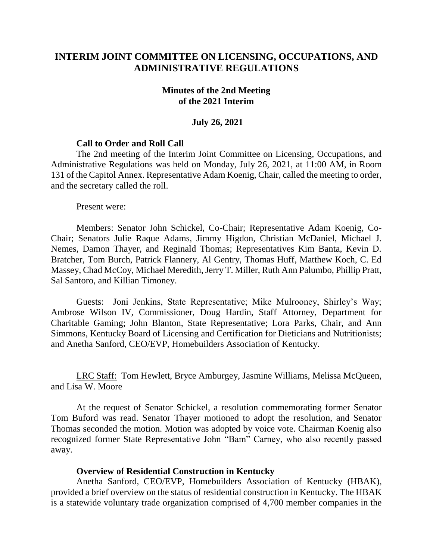# **INTERIM JOINT COMMITTEE ON LICENSING, OCCUPATIONS, AND ADMINISTRATIVE REGULATIONS**

#### **Minutes of the 2nd Meeting of the 2021 Interim**

#### **July 26, 2021**

### **Call to Order and Roll Call**

The 2nd meeting of the Interim Joint Committee on Licensing, Occupations, and Administrative Regulations was held on Monday, July 26, 2021, at 11:00 AM, in Room 131 of the Capitol Annex. Representative Adam Koenig, Chair, called the meeting to order, and the secretary called the roll.

Present were:

Members: Senator John Schickel, Co-Chair; Representative Adam Koenig, Co-Chair; Senators Julie Raque Adams, Jimmy Higdon, Christian McDaniel, Michael J. Nemes, Damon Thayer, and Reginald Thomas; Representatives Kim Banta, Kevin D. Bratcher, Tom Burch, Patrick Flannery, Al Gentry, Thomas Huff, Matthew Koch, C. Ed Massey, Chad McCoy, Michael Meredith, Jerry T. Miller, Ruth Ann Palumbo, Phillip Pratt, Sal Santoro, and Killian Timoney.

Guests: Joni Jenkins, State Representative; Mike Mulrooney, Shirley's Way; Ambrose Wilson IV, Commissioner, Doug Hardin, Staff Attorney, Department for Charitable Gaming; John Blanton, State Representative; Lora Parks, Chair, and Ann Simmons, Kentucky Board of Licensing and Certification for Dieticians and Nutritionists; and Anetha Sanford, CEO/EVP, Homebuilders Association of Kentucky.

LRC Staff: Tom Hewlett, Bryce Amburgey, Jasmine Williams, Melissa McQueen, and Lisa W. Moore

At the request of Senator Schickel, a resolution commemorating former Senator Tom Buford was read. Senator Thayer motioned to adopt the resolution, and Senator Thomas seconded the motion. Motion was adopted by voice vote. Chairman Koenig also recognized former State Representative John "Bam" Carney, who also recently passed away.

#### **Overview of Residential Construction in Kentucky**

Anetha Sanford, CEO/EVP, Homebuilders Association of Kentucky (HBAK), provided a brief overview on the status of residential construction in Kentucky. The HBAK is a statewide voluntary trade organization comprised of 4,700 member companies in the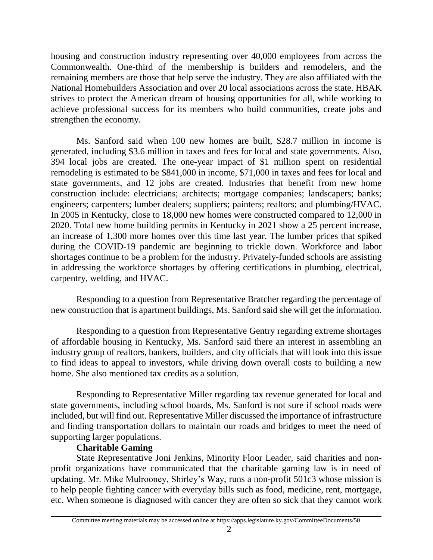housing and construction industry representing over 40,000 employees from across the Commonwealth. One-third of the membership is builders and remodelers, and the remaining members are those that help serve the industry. They are also affiliated with the National Homebuilders Association and over 20 local associations across the state. HBAK strives to protect the American dream of housing opportunities for all, while working to achieve professional success for its members who build communities, create jobs and strengthen the economy.

Ms. Sanford said when 100 new homes are built, \$28.7 million in income is generated, including \$3.6 million in taxes and fees for local and state governments. Also, 394 local jobs are created. The one-year impact of \$1 million spent on residential remodeling is estimated to be \$841,000 in income, \$71,000 in taxes and fees for local and state governments, and 12 jobs are created. Industries that benefit from new home construction include: electricians; architects; mortgage companies; landscapers; banks; engineers; carpenters; lumber dealers; suppliers; painters; realtors; and plumbing/HVAC. In 2005 in Kentucky, close to 18,000 new homes were constructed compared to 12,000 in 2020. Total new home building permits in Kentucky in 2021 show a 25 percent increase, an increase of 1,300 more homes over this time last year. The lumber prices that spiked during the COVID-19 pandemic are beginning to trickle down. Workforce and labor shortages continue to be a problem for the industry. Privately-funded schools are assisting in addressing the workforce shortages by offering certifications in plumbing, electrical, carpentry, welding, and HVAC.

Responding to a question from Representative Bratcher regarding the percentage of new construction that is apartment buildings, Ms. Sanford said she will get the information.

Responding to a question from Representative Gentry regarding extreme shortages of affordable housing in Kentucky, Ms. Sanford said there an interest in assembling an industry group of realtors, bankers, builders, and city officials that will look into this issue to find ideas to appeal to investors, while driving down overall costs to building a new home. She also mentioned tax credits as a solution.

Responding to Representative Miller regarding tax revenue generated for local and state governments, including school boards, Ms. Sanford is not sure if school roads were included, but will find out. Representative Miller discussed the importance of infrastructure and finding transportation dollars to maintain our roads and bridges to meet the need of supporting larger populations.

## **Charitable Gaming**

State Representative Joni Jenkins, Minority Floor Leader, said charities and nonprofit organizations have communicated that the charitable gaming law is in need of updating. Mr. Mike Mulrooney, Shirley's Way, runs a non-profit 501c3 whose mission is to help people fighting cancer with everyday bills such as food, medicine, rent, mortgage, etc. When someone is diagnosed with cancer they are often so sick that they cannot work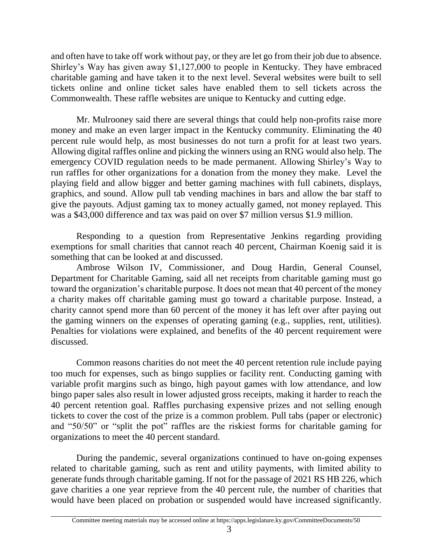and often have to take off work without pay, or they are let go from their job due to absence. Shirley's Way has given away \$1,127,000 to people in Kentucky. They have embraced charitable gaming and have taken it to the next level. Several websites were built to sell tickets online and online ticket sales have enabled them to sell tickets across the Commonwealth. These raffle websites are unique to Kentucky and cutting edge.

Mr. Mulrooney said there are several things that could help non-profits raise more money and make an even larger impact in the Kentucky community. Eliminating the 40 percent rule would help, as most businesses do not turn a profit for at least two years. Allowing digital raffles online and picking the winners using an RNG would also help. The emergency COVID regulation needs to be made permanent. Allowing Shirley's Way to run raffles for other organizations for a donation from the money they make. Level the playing field and allow bigger and better gaming machines with full cabinets, displays, graphics, and sound. Allow pull tab vending machines in bars and allow the bar staff to give the payouts. Adjust gaming tax to money actually gamed, not money replayed. This was a \$43,000 difference and tax was paid on over \$7 million versus \$1.9 million.

Responding to a question from Representative Jenkins regarding providing exemptions for small charities that cannot reach 40 percent, Chairman Koenig said it is something that can be looked at and discussed.

Ambrose Wilson IV, Commissioner, and Doug Hardin, General Counsel, Department for Charitable Gaming, said all net receipts from charitable gaming must go toward the organization's charitable purpose. It does not mean that 40 percent of the money a charity makes off charitable gaming must go toward a charitable purpose. Instead, a charity cannot spend more than 60 percent of the money it has left over after paying out the gaming winners on the expenses of operating gaming (e.g., supplies, rent, utilities). Penalties for violations were explained, and benefits of the 40 percent requirement were discussed.

Common reasons charities do not meet the 40 percent retention rule include paying too much for expenses, such as bingo supplies or facility rent. Conducting gaming with variable profit margins such as bingo, high payout games with low attendance, and low bingo paper sales also result in lower adjusted gross receipts, making it harder to reach the 40 percent retention goal. Raffles purchasing expensive prizes and not selling enough tickets to cover the cost of the prize is a common problem. Pull tabs (paper or electronic) and "50/50" or "split the pot" raffles are the riskiest forms for charitable gaming for organizations to meet the 40 percent standard.

During the pandemic, several organizations continued to have on-going expenses related to charitable gaming, such as rent and utility payments, with limited ability to generate funds through charitable gaming. If not for the passage of 2021 RS HB 226, which gave charities a one year reprieve from the 40 percent rule, the number of charities that would have been placed on probation or suspended would have increased significantly.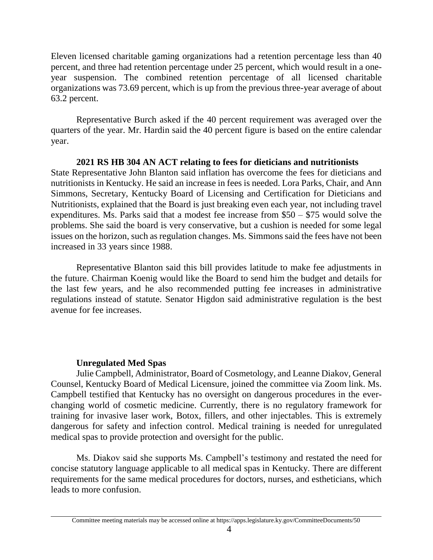Eleven licensed charitable gaming organizations had a retention percentage less than 40 percent, and three had retention percentage under 25 percent, which would result in a oneyear suspension. The combined retention percentage of all licensed charitable organizations was 73.69 percent, which is up from the previous three-year average of about 63.2 percent.

Representative Burch asked if the 40 percent requirement was averaged over the quarters of the year. Mr. Hardin said the 40 percent figure is based on the entire calendar year.

## **2021 RS HB 304 AN ACT relating to fees for dieticians and nutritionists**

State Representative John Blanton said inflation has overcome the fees for dieticians and nutritionists in Kentucky. He said an increase in fees is needed. Lora Parks, Chair, and Ann Simmons, Secretary, Kentucky Board of Licensing and Certification for Dieticians and Nutritionists, explained that the Board is just breaking even each year, not including travel expenditures. Ms. Parks said that a modest fee increase from \$50 – \$75 would solve the problems. She said the board is very conservative, but a cushion is needed for some legal issues on the horizon, such as regulation changes. Ms. Simmons said the fees have not been increased in 33 years since 1988.

Representative Blanton said this bill provides latitude to make fee adjustments in the future. Chairman Koenig would like the Board to send him the budget and details for the last few years, and he also recommended putting fee increases in administrative regulations instead of statute. Senator Higdon said administrative regulation is the best avenue for fee increases.

## **Unregulated Med Spas**

Julie Campbell, Administrator, Board of Cosmetology, and Leanne Diakov, General Counsel, Kentucky Board of Medical Licensure, joined the committee via Zoom link. Ms. Campbell testified that Kentucky has no oversight on dangerous procedures in the everchanging world of cosmetic medicine. Currently, there is no regulatory framework for training for invasive laser work, Botox, fillers, and other injectables. This is extremely dangerous for safety and infection control. Medical training is needed for unregulated medical spas to provide protection and oversight for the public.

Ms. Diakov said she supports Ms. Campbell's testimony and restated the need for concise statutory language applicable to all medical spas in Kentucky. There are different requirements for the same medical procedures for doctors, nurses, and estheticians, which leads to more confusion.